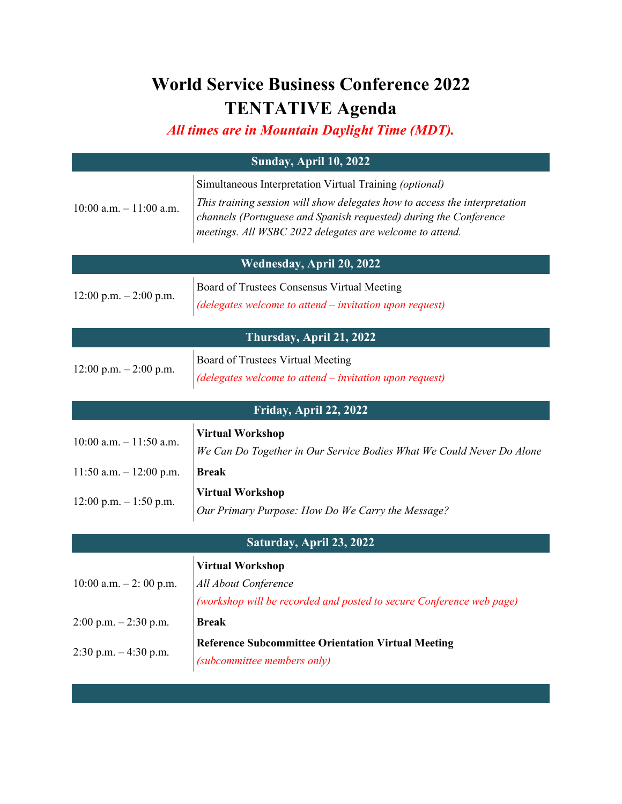## **World Service Business Conference 2022 TENTATIVE Agenda**

*All times are in Mountain Daylight Time (MDT).*

|                            | <b>Sunday, April 10, 2022</b>                                                                                                                                                                                                                                          |  |
|----------------------------|------------------------------------------------------------------------------------------------------------------------------------------------------------------------------------------------------------------------------------------------------------------------|--|
| $10:00$ a.m. $-11:00$ a.m. | Simultaneous Interpretation Virtual Training (optional)<br>This training session will show delegates how to access the interpretation<br>channels (Portuguese and Spanish requested) during the Conference<br>meetings. All WSBC 2022 delegates are welcome to attend. |  |
|                            | Wednesday, April 20, 2022                                                                                                                                                                                                                                              |  |
| $12:00$ p.m. $-2:00$ p.m.  | Board of Trustees Consensus Virtual Meeting<br>(delegates welcome to attend – invitation upon request)                                                                                                                                                                 |  |
| Thursday, April 21, 2022   |                                                                                                                                                                                                                                                                        |  |
| $12:00$ p.m. $-2:00$ p.m.  | Board of Trustees Virtual Meeting<br>(delegates welcome to attend - invitation upon request)                                                                                                                                                                           |  |
|                            | Friday, April 22, 2022                                                                                                                                                                                                                                                 |  |
| $10:00$ a.m. $-11:50$ a.m. | <b>Virtual Workshop</b><br>We Can Do Together in Our Service Bodies What We Could Never Do Alone                                                                                                                                                                       |  |
| 11:50 a.m. $-$ 12:00 p.m.  | <b>Break</b>                                                                                                                                                                                                                                                           |  |
| $12:00$ p.m. $-1:50$ p.m.  | <b>Virtual Workshop</b><br>Our Primary Purpose: How Do We Carry the Message?                                                                                                                                                                                           |  |
| Saturday, April 23, 2022   |                                                                                                                                                                                                                                                                        |  |
| 10:00 a.m. $-2$ : 00 p.m.  | <b>Virtual Workshop</b><br>All About Conference<br>(workshop will be recorded and posted to secure Conference web page)                                                                                                                                                |  |
| $2:00$ p.m. $-2:30$ p.m.   | <b>Break</b>                                                                                                                                                                                                                                                           |  |
| 2:30 p.m. $-4:30$ p.m.     | <b>Reference Subcommittee Orientation Virtual Meeting</b><br>(subcommittee members only)                                                                                                                                                                               |  |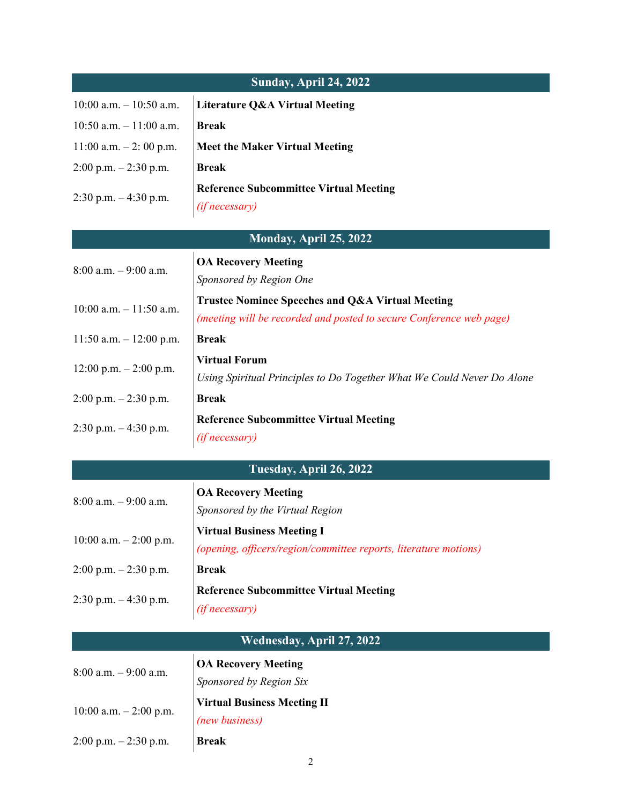| <b>Sunday, April 24, 2022</b> |                                                                                                                         |  |
|-------------------------------|-------------------------------------------------------------------------------------------------------------------------|--|
| $10:00$ a.m. $-10:50$ a.m.    | <b>Literature Q&amp;A Virtual Meeting</b>                                                                               |  |
| $10:50$ a.m. $-11:00$ a.m.    | <b>Break</b>                                                                                                            |  |
| $11:00$ a.m. $-2:00$ p.m.     | <b>Meet the Maker Virtual Meeting</b>                                                                                   |  |
| $2:00$ p.m. $-2:30$ p.m.      | <b>Break</b>                                                                                                            |  |
| 2:30 p.m. $-4:30$ p.m.        | <b>Reference Subcommittee Virtual Meeting</b><br>(if necessary)                                                         |  |
|                               | Monday, April 25, 2022                                                                                                  |  |
| $8:00$ a.m. $-9:00$ a.m.      | <b>OA Recovery Meeting</b><br>Sponsored by Region One                                                                   |  |
| $10:00$ a.m. $-11:50$ a.m.    | Trustee Nominee Speeches and Q&A Virtual Meeting<br>(meeting will be recorded and posted to secure Conference web page) |  |
| 11:50 a.m. $- 12:00$ p.m.     | <b>Break</b>                                                                                                            |  |
| $12:00$ p.m. $-2:00$ p.m.     | <b>Virtual Forum</b><br>Using Spiritual Principles to Do Together What We Could Never Do Alone                          |  |
| $2:00$ p.m. $-2:30$ p.m.      | <b>Break</b>                                                                                                            |  |
| 2:30 p.m. $-4:30$ p.m.        | <b>Reference Subcommittee Virtual Meeting</b><br>(if necessary)                                                         |  |
|                               | Tuesday, April 26, 2022                                                                                                 |  |
| $8:00$ a.m. $-9:00$ a.m.      | <b>OA Recovery Meeting</b><br>Sponsored by the Virtual Region                                                           |  |
| 10:00 a.m. $-2:00$ p.m.       | <b>Virtual Business Meeting I</b><br>(opening, officers/region/committee reports, literature motions)                   |  |
| $2:00$ p.m. $-2:30$ p.m.      | <b>Break</b>                                                                                                            |  |
| 2:30 p.m. $-4:30$ p.m.        | <b>Reference Subcommittee Virtual Meeting</b><br>(if necessary)                                                         |  |
| Wednesday, April 27, 2022     |                                                                                                                         |  |
| $8:00$ a.m. $-9:00$ a.m.      | <b>OA Recovery Meeting</b><br>Sponsored by Region Six                                                                   |  |
| 10:00 a.m. $-2:00$ p.m.       | <b>Virtual Business Meeting II</b><br>(new business)                                                                    |  |

2:00 p.m. – 2:30 p.m. **Break**